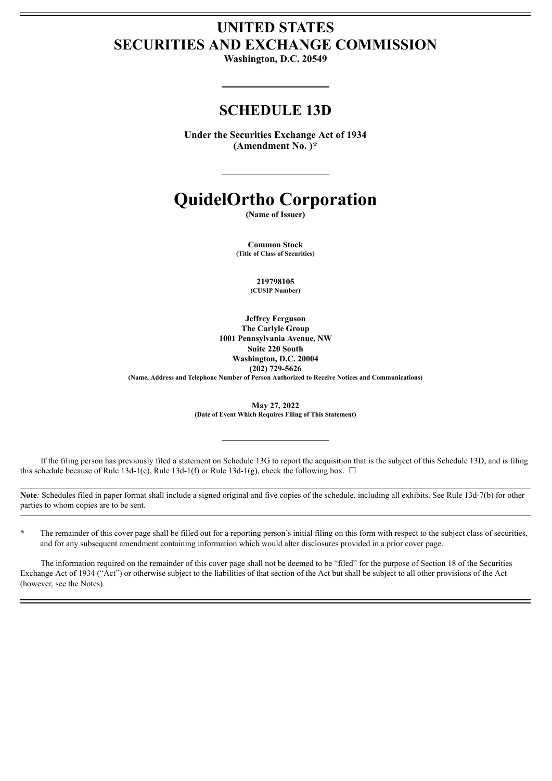# **UNITED STATES SECURITIES AND EXCHANGE COMMISSION**

**Washington, D.C. 20549**

# **SCHEDULE 13D**

**Under the Securities Exchange Act of 1934 (Amendment No. )\***

# **QuidelOrtho Corporation**

**(Name of Issuer)**

**Common Stock (Title of Class of Securities)**

> **219798105 (CUSIP Number)**

**Jeffrey Ferguson The Carlyle Group 1001 Pennsylvania Avenue, NW Suite 220 South Washington, D.C. 20004 (202) 729-5626**

**(Name, Address and Telephone Number of Person Authorized to Receive Notices and Communications)**

**May 27, 2022 (Date of Event Which Requires Filing of This Statement)**

If the filing person has previously filed a statement on Schedule 13G to report the acquisition that is the subject of this Schedule 13D, and is filing this schedule because of Rule 13d-1(e), Rule 13d-1(f) or Rule 13d-1(g), check the following box.  $\Box$ 

**Note***:* Schedules filed in paper format shall include a signed original and five copies of the schedule, including all exhibits. See Rule 13d-7(b) for other parties to whom copies are to be sent.

\* The remainder of this cover page shall be filled out for a reporting person's initial filing on this form with respect to the subject class of securities, and for any subsequent amendment containing information which would alter disclosures provided in a prior cover page.

The information required on the remainder of this cover page shall not be deemed to be "filed" for the purpose of Section 18 of the Securities Exchange Act of 1934 ("Act") or otherwise subject to the liabilities of that section of the Act but shall be subject to all other provisions of the Act (however, see the Notes).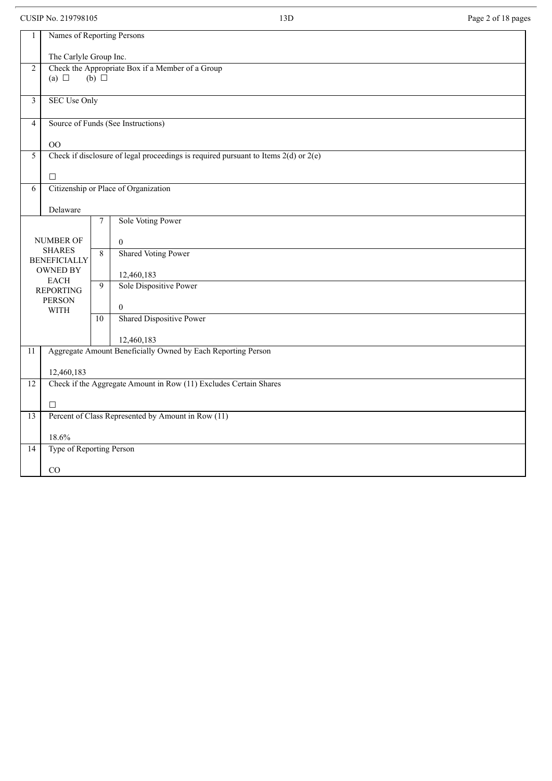CUSIP No. 219798105 Page 2 of 18 pages

| 1                       | Names of Reporting Persons     |                 |                                                                                         |  |  |  |  |
|-------------------------|--------------------------------|-----------------|-----------------------------------------------------------------------------------------|--|--|--|--|
|                         | The Carlyle Group Inc.         |                 |                                                                                         |  |  |  |  |
| $\overline{c}$          |                                |                 | Check the Appropriate Box if a Member of a Group                                        |  |  |  |  |
|                         | (a) $\Box$                     | $(b)$ $\square$ |                                                                                         |  |  |  |  |
|                         |                                |                 |                                                                                         |  |  |  |  |
| $\overline{\mathbf{3}}$ | <b>SEC Use Only</b>            |                 |                                                                                         |  |  |  |  |
| $\overline{4}$          |                                |                 | Source of Funds (See Instructions)                                                      |  |  |  |  |
|                         | O <sub>O</sub>                 |                 |                                                                                         |  |  |  |  |
| 5                       |                                |                 | Check if disclosure of legal proceedings is required pursuant to Items $2(d)$ or $2(e)$ |  |  |  |  |
|                         |                                |                 |                                                                                         |  |  |  |  |
|                         | $\Box$                         |                 |                                                                                         |  |  |  |  |
| 6                       |                                |                 | Citizenship or Place of Organization                                                    |  |  |  |  |
|                         | Delaware                       |                 |                                                                                         |  |  |  |  |
|                         |                                | $\overline{7}$  | Sole Voting Power                                                                       |  |  |  |  |
|                         | NUMBER OF                      |                 | $\Omega$                                                                                |  |  |  |  |
|                         | <b>SHARES</b>                  | 8               | <b>Shared Voting Power</b>                                                              |  |  |  |  |
|                         | <b>BENEFICIALLY</b>            |                 |                                                                                         |  |  |  |  |
|                         | <b>OWNED BY</b><br><b>EACH</b> |                 | 12,460,183                                                                              |  |  |  |  |
|                         | <b>REPORTING</b>               | 9               | Sole Dispositive Power                                                                  |  |  |  |  |
|                         | <b>PERSON</b>                  |                 | $\overline{0}$                                                                          |  |  |  |  |
|                         | WITH                           | 10              | <b>Shared Dispositive Power</b>                                                         |  |  |  |  |
|                         |                                |                 |                                                                                         |  |  |  |  |
|                         |                                |                 | 12,460,183                                                                              |  |  |  |  |
| 11                      |                                |                 | Aggregate Amount Beneficially Owned by Each Reporting Person                            |  |  |  |  |
|                         | 12,460,183                     |                 |                                                                                         |  |  |  |  |
| 12                      |                                |                 | Check if the Aggregate Amount in Row (11) Excludes Certain Shares                       |  |  |  |  |
|                         |                                |                 |                                                                                         |  |  |  |  |
|                         | $\Box$                         |                 |                                                                                         |  |  |  |  |
| $\overline{13}$         |                                |                 | Percent of Class Represented by Amount in Row (11)                                      |  |  |  |  |
|                         | 18.6%                          |                 |                                                                                         |  |  |  |  |
| 14                      | Type of Reporting Person       |                 |                                                                                         |  |  |  |  |
|                         | CO                             |                 |                                                                                         |  |  |  |  |
|                         |                                |                 |                                                                                         |  |  |  |  |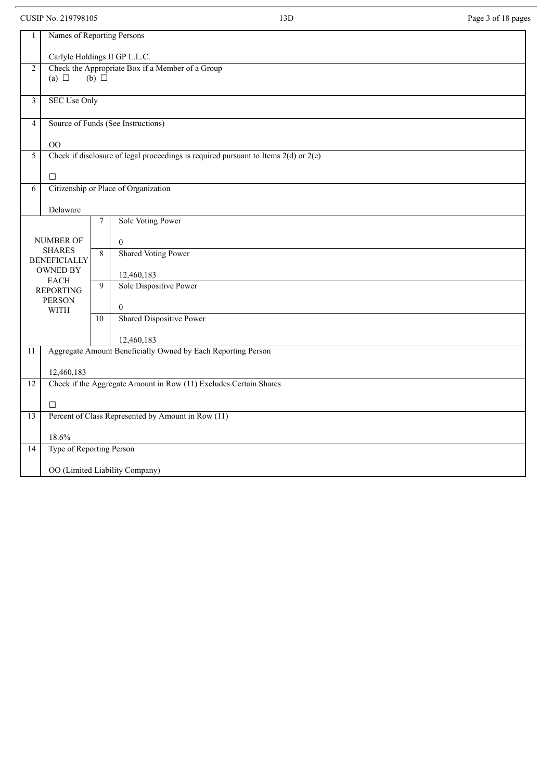CUSIP No. 219798105 Page 3 of 18 pages

| 1               | Names of Reporting Persons      |                  |                                                                                         |  |  |  |
|-----------------|---------------------------------|------------------|-----------------------------------------------------------------------------------------|--|--|--|
|                 | Carlyle Holdings II GP L.L.C.   |                  |                                                                                         |  |  |  |
| $\overline{2}$  |                                 |                  | Check the Appropriate Box if a Member of a Group                                        |  |  |  |
|                 | (a) $\Box$                      | $(b)$ $\square$  |                                                                                         |  |  |  |
|                 |                                 |                  |                                                                                         |  |  |  |
| 3               | <b>SEC Use Only</b>             |                  |                                                                                         |  |  |  |
| $\overline{4}$  |                                 |                  | Source of Funds (See Instructions)                                                      |  |  |  |
|                 | OO                              |                  |                                                                                         |  |  |  |
| 5               |                                 |                  | Check if disclosure of legal proceedings is required pursuant to Items $2(d)$ or $2(e)$ |  |  |  |
|                 |                                 |                  |                                                                                         |  |  |  |
|                 | $\Box$                          |                  |                                                                                         |  |  |  |
| 6               |                                 |                  | Citizenship or Place of Organization                                                    |  |  |  |
|                 |                                 |                  |                                                                                         |  |  |  |
|                 | Delaware                        |                  |                                                                                         |  |  |  |
|                 |                                 | $\boldsymbol{7}$ | Sole Voting Power                                                                       |  |  |  |
|                 |                                 |                  |                                                                                         |  |  |  |
|                 | <b>NUMBER OF</b>                |                  | $\mathbf{0}$                                                                            |  |  |  |
|                 | <b>SHARES</b>                   | 8                | <b>Shared Voting Power</b>                                                              |  |  |  |
|                 | <b>BENEFICIALLY</b><br>OWNED BY |                  |                                                                                         |  |  |  |
|                 | <b>EACH</b>                     |                  | 12,460,183                                                                              |  |  |  |
|                 | <b>REPORTING</b>                | 9                | Sole Dispositive Power                                                                  |  |  |  |
|                 | <b>PERSON</b>                   |                  |                                                                                         |  |  |  |
|                 | <b>WITH</b>                     |                  | $\boldsymbol{0}$                                                                        |  |  |  |
|                 |                                 | 10               | <b>Shared Dispositive Power</b>                                                         |  |  |  |
|                 |                                 |                  | 12,460,183                                                                              |  |  |  |
| 11              |                                 |                  | Aggregate Amount Beneficially Owned by Each Reporting Person                            |  |  |  |
|                 |                                 |                  |                                                                                         |  |  |  |
|                 | 12,460,183                      |                  |                                                                                         |  |  |  |
| $\overline{12}$ |                                 |                  | Check if the Aggregate Amount in Row (11) Excludes Certain Shares                       |  |  |  |
|                 | $\Box$                          |                  |                                                                                         |  |  |  |
| 13              |                                 |                  | Percent of Class Represented by Amount in Row (11)                                      |  |  |  |
|                 |                                 |                  |                                                                                         |  |  |  |
|                 | 18.6%                           |                  |                                                                                         |  |  |  |
| 14              | Type of Reporting Person        |                  |                                                                                         |  |  |  |
|                 |                                 |                  | OO (Limited Liability Company)                                                          |  |  |  |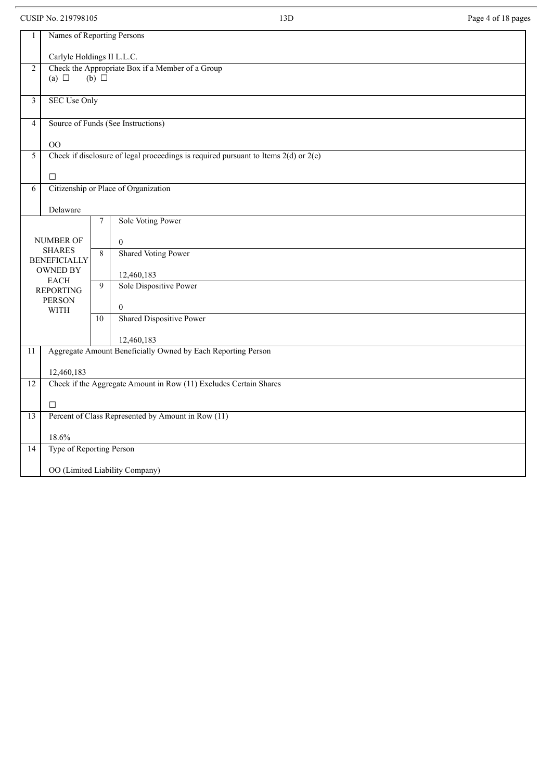CUSIP No. 219798105 Page 4 of 18 pages

| 1               | Names of Reporting Persons           |                  |                                                                                         |  |  |  |
|-----------------|--------------------------------------|------------------|-----------------------------------------------------------------------------------------|--|--|--|
|                 | Carlyle Holdings II L.L.C.           |                  |                                                                                         |  |  |  |
| $\overline{2}$  |                                      |                  | Check the Appropriate Box if a Member of a Group                                        |  |  |  |
|                 | (a) $\Box$                           | $(b)$ $\square$  |                                                                                         |  |  |  |
| $\mathfrak{Z}$  | <b>SEC Use Only</b>                  |                  |                                                                                         |  |  |  |
| $\overline{4}$  |                                      |                  | Source of Funds (See Instructions)                                                      |  |  |  |
|                 | OO                                   |                  |                                                                                         |  |  |  |
| 5               |                                      |                  | Check if disclosure of legal proceedings is required pursuant to Items $2(d)$ or $2(e)$ |  |  |  |
|                 | $\Box$                               |                  |                                                                                         |  |  |  |
| 6               |                                      |                  | Citizenship or Place of Organization                                                    |  |  |  |
|                 | Delaware                             |                  |                                                                                         |  |  |  |
|                 |                                      | $\boldsymbol{7}$ | Sole Voting Power                                                                       |  |  |  |
|                 | <b>NUMBER OF</b>                     |                  | $\mathbf{0}$                                                                            |  |  |  |
|                 | <b>SHARES</b><br><b>BENEFICIALLY</b> | 8                | <b>Shared Voting Power</b>                                                              |  |  |  |
|                 | OWNED BY                             |                  | 12,460,183                                                                              |  |  |  |
|                 | <b>EACH</b><br><b>REPORTING</b>      | 9                | Sole Dispositive Power                                                                  |  |  |  |
|                 | <b>PERSON</b><br><b>WITH</b>         |                  | $\overline{0}$                                                                          |  |  |  |
|                 |                                      | $\overline{10}$  | <b>Shared Dispositive Power</b>                                                         |  |  |  |
|                 |                                      |                  | 12,460,183                                                                              |  |  |  |
| $\overline{11}$ |                                      |                  | Aggregate Amount Beneficially Owned by Each Reporting Person                            |  |  |  |
|                 | 12,460,183                           |                  |                                                                                         |  |  |  |
| 12              |                                      |                  | Check if the Aggregate Amount in Row (11) Excludes Certain Shares                       |  |  |  |
|                 | $\Box$                               |                  |                                                                                         |  |  |  |
| 13              |                                      |                  | Percent of Class Represented by Amount in Row (11)                                      |  |  |  |
|                 | 18.6%                                |                  |                                                                                         |  |  |  |
| 14              | Type of Reporting Person             |                  |                                                                                         |  |  |  |
|                 |                                      |                  | OO (Limited Liability Company)                                                          |  |  |  |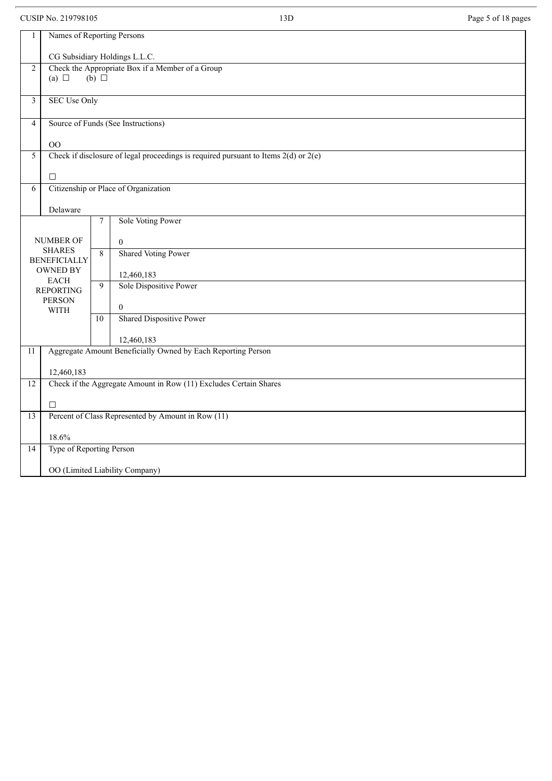CUSIP No. 219798105 Page 5 of 18 pages

| 1                |                                |                 |                                                                                         |  |  |  |
|------------------|--------------------------------|-----------------|-----------------------------------------------------------------------------------------|--|--|--|
|                  | Names of Reporting Persons     |                 |                                                                                         |  |  |  |
|                  | CG Subsidiary Holdings L.L.C.  |                 |                                                                                         |  |  |  |
| $\boldsymbol{2}$ |                                |                 | Check the Appropriate Box if a Member of a Group                                        |  |  |  |
|                  | (a) $\Box$                     | $(b)$ $\square$ |                                                                                         |  |  |  |
| 3                | <b>SEC Use Only</b>            |                 |                                                                                         |  |  |  |
|                  |                                |                 |                                                                                         |  |  |  |
| 4                |                                |                 | Source of Funds (See Instructions)                                                      |  |  |  |
|                  | OO                             |                 |                                                                                         |  |  |  |
| 5                |                                |                 | Check if disclosure of legal proceedings is required pursuant to Items $2(d)$ or $2(e)$ |  |  |  |
|                  | $\Box$                         |                 |                                                                                         |  |  |  |
| 6                |                                |                 | Citizenship or Place of Organization                                                    |  |  |  |
|                  |                                |                 |                                                                                         |  |  |  |
|                  | Delaware                       |                 |                                                                                         |  |  |  |
|                  |                                | 7               | Sole Voting Power                                                                       |  |  |  |
|                  | NUMBER OF                      |                 | $\boldsymbol{0}$                                                                        |  |  |  |
|                  | <b>SHARES</b>                  |                 | <b>Shared Voting Power</b>                                                              |  |  |  |
|                  | <b>BENEFICIALLY</b>            | 8               |                                                                                         |  |  |  |
|                  | <b>OWNED BY</b><br><b>EACH</b> |                 | 12,460,183                                                                              |  |  |  |
|                  | <b>REPORTING</b>               | 9               | Sole Dispositive Power                                                                  |  |  |  |
|                  | <b>PERSON</b>                  |                 | $\mathbf{0}$                                                                            |  |  |  |
|                  | <b>WITH</b>                    | 10              | <b>Shared Dispositive Power</b>                                                         |  |  |  |
|                  |                                |                 |                                                                                         |  |  |  |
|                  |                                |                 | 12,460,183                                                                              |  |  |  |
| 11               |                                |                 | Aggregate Amount Beneficially Owned by Each Reporting Person                            |  |  |  |
|                  | 12,460,183                     |                 |                                                                                         |  |  |  |
| 12               |                                |                 | Check if the Aggregate Amount in Row (11) Excludes Certain Shares                       |  |  |  |
|                  |                                |                 |                                                                                         |  |  |  |
| $\overline{13}$  | $\Box$                         |                 | Percent of Class Represented by Amount in Row (11)                                      |  |  |  |
|                  |                                |                 |                                                                                         |  |  |  |
|                  | 18.6%                          |                 |                                                                                         |  |  |  |
| 14               | Type of Reporting Person       |                 |                                                                                         |  |  |  |
|                  |                                |                 | OO (Limited Liability Company)                                                          |  |  |  |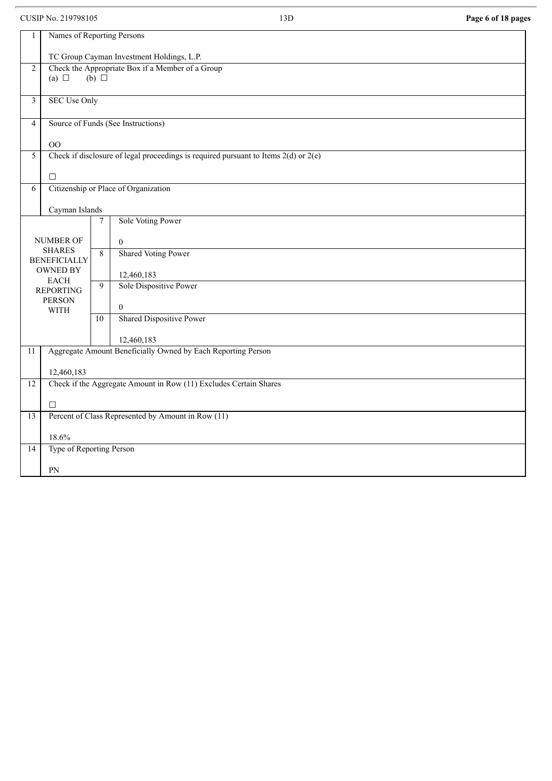CUSIP No. 219798105 13D **Page 6 of 18 pages**

| 1               | Names of Reporting Persons                |                     |                                                                                         |  |  |  |  |
|-----------------|-------------------------------------------|---------------------|-----------------------------------------------------------------------------------------|--|--|--|--|
|                 | TC Group Cayman Investment Holdings, L.P. |                     |                                                                                         |  |  |  |  |
| 2               | (a) $\Box$                                | $(b)$ $\Box$        | Check the Appropriate Box if a Member of a Group                                        |  |  |  |  |
| 3               |                                           | <b>SEC Use Only</b> |                                                                                         |  |  |  |  |
| $\overline{4}$  |                                           |                     | Source of Funds (See Instructions)                                                      |  |  |  |  |
|                 | OO                                        |                     |                                                                                         |  |  |  |  |
| 5               |                                           |                     | Check if disclosure of legal proceedings is required pursuant to Items $2(d)$ or $2(e)$ |  |  |  |  |
|                 | $\Box$                                    |                     |                                                                                         |  |  |  |  |
| 6               |                                           |                     | Citizenship or Place of Organization                                                    |  |  |  |  |
|                 | Cayman Islands                            |                     |                                                                                         |  |  |  |  |
|                 |                                           | 7                   | Sole Voting Power                                                                       |  |  |  |  |
| NUMBER OF       |                                           |                     | $\overline{0}$                                                                          |  |  |  |  |
|                 | <b>SHARES</b><br><b>BENEFICIALLY</b>      | $\overline{8}$      | <b>Shared Voting Power</b>                                                              |  |  |  |  |
|                 | <b>OWNED BY</b>                           |                     | 12,460,183                                                                              |  |  |  |  |
|                 | <b>EACH</b><br><b>REPORTING</b>           | 9                   | Sole Dispositive Power                                                                  |  |  |  |  |
|                 | <b>PERSON</b>                             |                     | $\mathbf{0}$                                                                            |  |  |  |  |
|                 | <b>WITH</b>                               | $\overline{10}$     | <b>Shared Dispositive Power</b>                                                         |  |  |  |  |
|                 |                                           |                     | 12,460,183                                                                              |  |  |  |  |
| $\overline{11}$ |                                           |                     | Aggregate Amount Beneficially Owned by Each Reporting Person                            |  |  |  |  |
|                 | 12,460,183                                |                     |                                                                                         |  |  |  |  |
| $\overline{12}$ |                                           |                     | Check if the Aggregate Amount in Row (11) Excludes Certain Shares                       |  |  |  |  |
|                 | $\Box$                                    |                     |                                                                                         |  |  |  |  |
| $\overline{13}$ |                                           |                     | Percent of Class Represented by Amount in Row (11)                                      |  |  |  |  |
|                 | 18.6%                                     |                     |                                                                                         |  |  |  |  |
| 14              | Type of Reporting Person                  |                     |                                                                                         |  |  |  |  |
|                 | PN                                        |                     |                                                                                         |  |  |  |  |
|                 |                                           |                     |                                                                                         |  |  |  |  |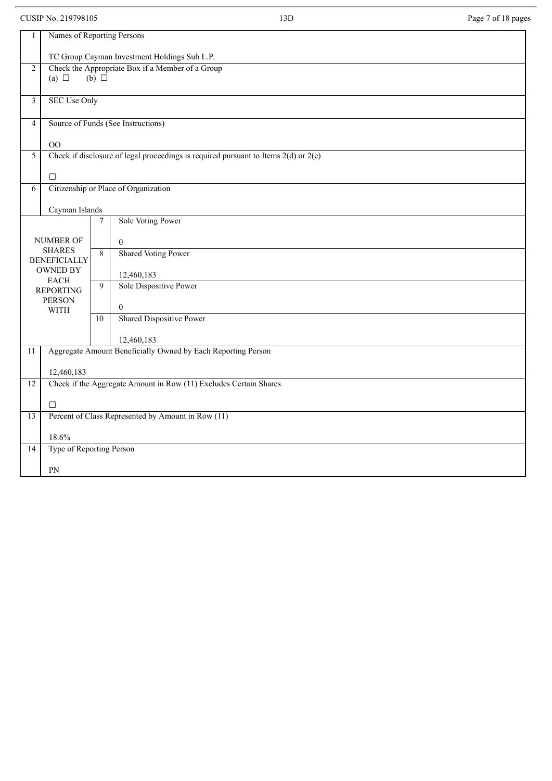CUSIP No. 219798105 Page 7 of 18 pages

| $\mathbf{1}$   | Names of Reporting Persons                   |                 |                                                                                         |  |  |  |  |
|----------------|----------------------------------------------|-----------------|-----------------------------------------------------------------------------------------|--|--|--|--|
|                |                                              |                 |                                                                                         |  |  |  |  |
|                | TC Group Cayman Investment Holdings Sub L.P. |                 |                                                                                         |  |  |  |  |
| 2              | (a) $\Box$                                   | (b) $\Box$      | Check the Appropriate Box if a Member of a Group                                        |  |  |  |  |
|                |                                              |                 |                                                                                         |  |  |  |  |
| $\mathfrak{Z}$ | <b>SEC Use Only</b>                          |                 |                                                                                         |  |  |  |  |
|                |                                              |                 |                                                                                         |  |  |  |  |
| 4              |                                              |                 | Source of Funds (See Instructions)                                                      |  |  |  |  |
|                | OO                                           |                 |                                                                                         |  |  |  |  |
| 5              |                                              |                 | Check if disclosure of legal proceedings is required pursuant to Items $2(d)$ or $2(e)$ |  |  |  |  |
|                | $\Box$                                       |                 |                                                                                         |  |  |  |  |
| 6              |                                              |                 | Citizenship or Place of Organization                                                    |  |  |  |  |
|                |                                              |                 |                                                                                         |  |  |  |  |
|                | Cayman Islands                               |                 |                                                                                         |  |  |  |  |
|                |                                              | $\tau$          | Sole Voting Power                                                                       |  |  |  |  |
|                | NUMBER OF                                    |                 | $\theta$                                                                                |  |  |  |  |
|                | <b>SHARES</b>                                | $\overline{8}$  | <b>Shared Voting Power</b>                                                              |  |  |  |  |
|                | <b>BENEFICIALLY</b><br>OWNED BY              |                 |                                                                                         |  |  |  |  |
|                | <b>EACH</b>                                  |                 | 12,460,183                                                                              |  |  |  |  |
|                | <b>REPORTING</b>                             | 9               | Sole Dispositive Power                                                                  |  |  |  |  |
|                | <b>PERSON</b><br><b>WITH</b>                 |                 | $\mathbf{0}$                                                                            |  |  |  |  |
|                |                                              | $\overline{10}$ | <b>Shared Dispositive Power</b>                                                         |  |  |  |  |
|                |                                              |                 | 12,460,183                                                                              |  |  |  |  |
| 11             |                                              |                 | Aggregate Amount Beneficially Owned by Each Reporting Person                            |  |  |  |  |
|                |                                              |                 |                                                                                         |  |  |  |  |
|                | 12,460,183                                   |                 |                                                                                         |  |  |  |  |
| 12             |                                              |                 | Check if the Aggregate Amount in Row (11) Excludes Certain Shares                       |  |  |  |  |
|                | $\Box$                                       |                 |                                                                                         |  |  |  |  |
| 13             |                                              |                 | Percent of Class Represented by Amount in Row (11)                                      |  |  |  |  |
|                |                                              |                 |                                                                                         |  |  |  |  |
| 14             | 18.6%<br>Type of Reporting Person            |                 |                                                                                         |  |  |  |  |
|                |                                              |                 |                                                                                         |  |  |  |  |
|                | ${\rm PN}$                                   |                 |                                                                                         |  |  |  |  |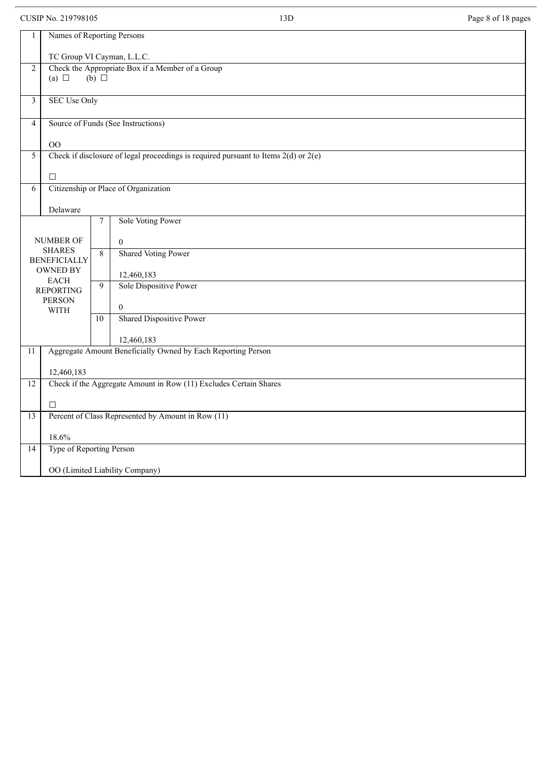CUSIP No. 219798105 2007 13D Page 8 of 18 pages

| Names of Reporting Persons<br>1                                                              |                            |  |  |  |  |  |
|----------------------------------------------------------------------------------------------|----------------------------|--|--|--|--|--|
|                                                                                              |                            |  |  |  |  |  |
|                                                                                              | TC Group VI Cayman, L.L.C. |  |  |  |  |  |
| Check the Appropriate Box if a Member of a Group<br>$\sqrt{2}$                               |                            |  |  |  |  |  |
| (a) $\Box$<br>$(b)$ $\square$                                                                |                            |  |  |  |  |  |
| <b>SEC Use Only</b>                                                                          |                            |  |  |  |  |  |
| $\mathfrak{Z}$                                                                               |                            |  |  |  |  |  |
| Source of Funds (See Instructions)<br>$\overline{4}$                                         |                            |  |  |  |  |  |
| OO                                                                                           |                            |  |  |  |  |  |
| Check if disclosure of legal proceedings is required pursuant to Items $2(d)$ or $2(e)$<br>5 |                            |  |  |  |  |  |
|                                                                                              |                            |  |  |  |  |  |
| $\Box$                                                                                       |                            |  |  |  |  |  |
| Citizenship or Place of Organization<br>6                                                    |                            |  |  |  |  |  |
| Delaware                                                                                     |                            |  |  |  |  |  |
| Sole Voting Power<br>$\tau$                                                                  |                            |  |  |  |  |  |
|                                                                                              |                            |  |  |  |  |  |
| NUMBER OF<br>$\theta$                                                                        |                            |  |  |  |  |  |
| <b>SHARES</b><br><b>Shared Voting Power</b><br>8                                             |                            |  |  |  |  |  |
| <b>BENEFICIALLY</b>                                                                          |                            |  |  |  |  |  |
| <b>OWNED BY</b><br>12,460,183                                                                |                            |  |  |  |  |  |
| <b>EACH</b><br>Sole Dispositive Power<br>9                                                   |                            |  |  |  |  |  |
| <b>REPORTING</b><br><b>PERSON</b>                                                            |                            |  |  |  |  |  |
| $\mathbf{0}$<br><b>WITH</b>                                                                  |                            |  |  |  |  |  |
| Shared Dispositive Power<br>10                                                               |                            |  |  |  |  |  |
| 12,460,183                                                                                   |                            |  |  |  |  |  |
| Aggregate Amount Beneficially Owned by Each Reporting Person<br>$\overline{11}$              |                            |  |  |  |  |  |
|                                                                                              |                            |  |  |  |  |  |
| 12,460,183                                                                                   |                            |  |  |  |  |  |
| Check if the Aggregate Amount in Row (11) Excludes Certain Shares<br>12                      |                            |  |  |  |  |  |
| $\Box$                                                                                       |                            |  |  |  |  |  |
| Percent of Class Represented by Amount in Row (11)<br>$\overline{13}$                        |                            |  |  |  |  |  |
|                                                                                              |                            |  |  |  |  |  |
| 18.6%                                                                                        |                            |  |  |  |  |  |
| Type of Reporting Person<br>14                                                               |                            |  |  |  |  |  |
| OO (Limited Liability Company)                                                               |                            |  |  |  |  |  |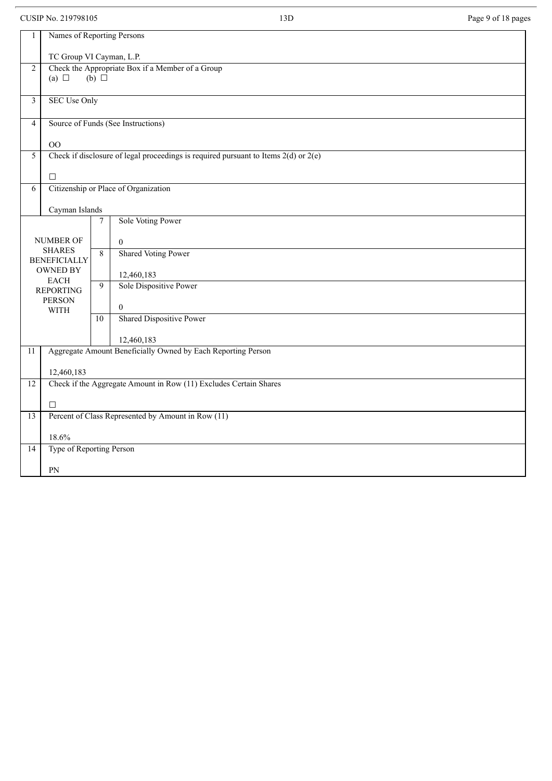CUSIP No. 219798105 Page 9 of 18 pages

| 1               | Names of Reporting Persons |                  |                                                                                         |  |  |  |
|-----------------|----------------------------|------------------|-----------------------------------------------------------------------------------------|--|--|--|
|                 | TC Group VI Cayman, L.P.   |                  |                                                                                         |  |  |  |
| $\overline{2}$  |                            |                  | Check the Appropriate Box if a Member of a Group                                        |  |  |  |
|                 | (a) $\Box$                 | $(b)$ $\square$  |                                                                                         |  |  |  |
|                 |                            |                  |                                                                                         |  |  |  |
| $\mathfrak{Z}$  | <b>SEC Use Only</b>        |                  |                                                                                         |  |  |  |
| $\overline{4}$  |                            |                  | Source of Funds (See Instructions)                                                      |  |  |  |
|                 | O <sub>O</sub>             |                  |                                                                                         |  |  |  |
| 5               |                            |                  | Check if disclosure of legal proceedings is required pursuant to Items $2(d)$ or $2(e)$ |  |  |  |
|                 |                            |                  |                                                                                         |  |  |  |
|                 | $\Box$                     |                  |                                                                                         |  |  |  |
| 6               |                            |                  | Citizenship or Place of Organization                                                    |  |  |  |
|                 |                            |                  |                                                                                         |  |  |  |
|                 | Cayman Islands             |                  |                                                                                         |  |  |  |
|                 |                            | $\boldsymbol{7}$ | Sole Voting Power                                                                       |  |  |  |
|                 | <b>NUMBER OF</b>           |                  |                                                                                         |  |  |  |
|                 | <b>SHARES</b>              |                  | $\overline{0}$                                                                          |  |  |  |
|                 | <b>BENEFICIALLY</b>        | $\overline{8}$   | <b>Shared Voting Power</b>                                                              |  |  |  |
|                 | OWNED BY                   |                  |                                                                                         |  |  |  |
|                 | <b>EACH</b>                |                  | 12,460,183<br>Sole Dispositive Power                                                    |  |  |  |
|                 | <b>REPORTING</b>           | 9                |                                                                                         |  |  |  |
|                 | <b>PERSON</b>              |                  | $\mathbf{0}$                                                                            |  |  |  |
|                 | <b>WITH</b>                | 10               | <b>Shared Dispositive Power</b>                                                         |  |  |  |
|                 |                            |                  |                                                                                         |  |  |  |
|                 |                            |                  | 12,460,183                                                                              |  |  |  |
| $\overline{11}$ |                            |                  | Aggregate Amount Beneficially Owned by Each Reporting Person                            |  |  |  |
|                 |                            |                  |                                                                                         |  |  |  |
|                 | 12,460,183                 |                  |                                                                                         |  |  |  |
| 12              |                            |                  | Check if the Aggregate Amount in Row (11) Excludes Certain Shares                       |  |  |  |
|                 |                            |                  |                                                                                         |  |  |  |
|                 | $\Box$                     |                  |                                                                                         |  |  |  |
| 13              |                            |                  | Percent of Class Represented by Amount in Row (11)                                      |  |  |  |
|                 | 18.6%                      |                  |                                                                                         |  |  |  |
| 14              | Type of Reporting Person   |                  |                                                                                         |  |  |  |
|                 | ${\rm PN}$                 |                  |                                                                                         |  |  |  |
|                 |                            |                  |                                                                                         |  |  |  |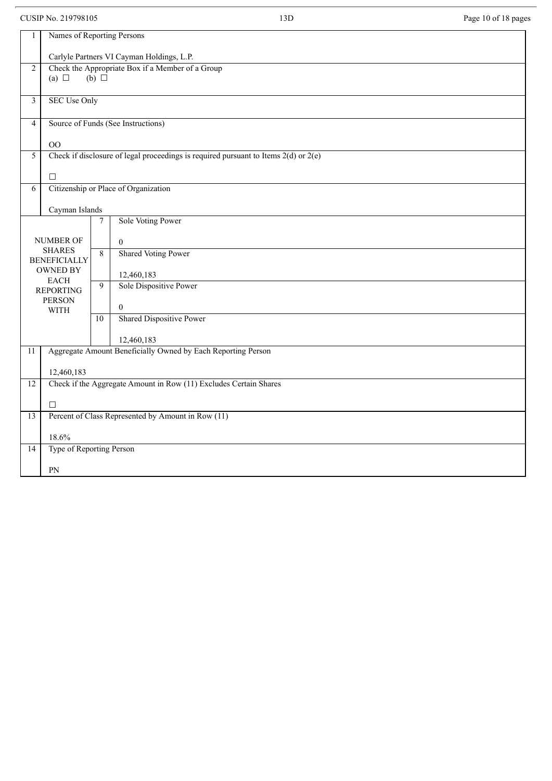CUSIP No. 219798105 13D Page 10 of 18 pages

| $\mathbf{1}$    | Names of Reporting Persons                |                 |                                                                                         |  |  |  |
|-----------------|-------------------------------------------|-----------------|-----------------------------------------------------------------------------------------|--|--|--|
|                 | Carlyle Partners VI Cayman Holdings, L.P. |                 |                                                                                         |  |  |  |
| $\overline{2}$  |                                           | $(b)$ $\square$ | Check the Appropriate Box if a Member of a Group                                        |  |  |  |
|                 | (a) $\Box$                                |                 |                                                                                         |  |  |  |
| $\mathfrak{Z}$  | <b>SEC Use Only</b>                       |                 |                                                                                         |  |  |  |
| $\overline{4}$  |                                           |                 | Source of Funds (See Instructions)                                                      |  |  |  |
|                 | OO                                        |                 |                                                                                         |  |  |  |
| 5               |                                           |                 | Check if disclosure of legal proceedings is required pursuant to Items $2(d)$ or $2(e)$ |  |  |  |
|                 | $\Box$                                    |                 |                                                                                         |  |  |  |
| 6               | Citizenship or Place of Organization      |                 |                                                                                         |  |  |  |
|                 | Cayman Islands                            |                 |                                                                                         |  |  |  |
|                 |                                           | $\tau$          | Sole Voting Power                                                                       |  |  |  |
|                 | NUMBER OF                                 |                 | $\mathbf{0}$                                                                            |  |  |  |
|                 | <b>SHARES</b><br><b>BENEFICIALLY</b>      | $\overline{8}$  | <b>Shared Voting Power</b>                                                              |  |  |  |
|                 | <b>OWNED BY</b>                           |                 | 12,460,183                                                                              |  |  |  |
|                 | <b>EACH</b><br><b>REPORTING</b>           | 9               | Sole Dispositive Power                                                                  |  |  |  |
|                 | <b>PERSON</b><br><b>WITH</b>              |                 | $\boldsymbol{0}$                                                                        |  |  |  |
|                 |                                           | 10              | <b>Shared Dispositive Power</b>                                                         |  |  |  |
|                 |                                           |                 | 12,460,183                                                                              |  |  |  |
| 11              |                                           |                 | Aggregate Amount Beneficially Owned by Each Reporting Person                            |  |  |  |
|                 | 12,460,183                                |                 |                                                                                         |  |  |  |
| 12              |                                           |                 | Check if the Aggregate Amount in Row (11) Excludes Certain Shares                       |  |  |  |
|                 | $\Box$                                    |                 |                                                                                         |  |  |  |
| $\overline{13}$ |                                           |                 | Percent of Class Represented by Amount in Row (11)                                      |  |  |  |
|                 | 18.6%                                     |                 |                                                                                         |  |  |  |
| 14              | Type of Reporting Person                  |                 |                                                                                         |  |  |  |
|                 | PN                                        |                 |                                                                                         |  |  |  |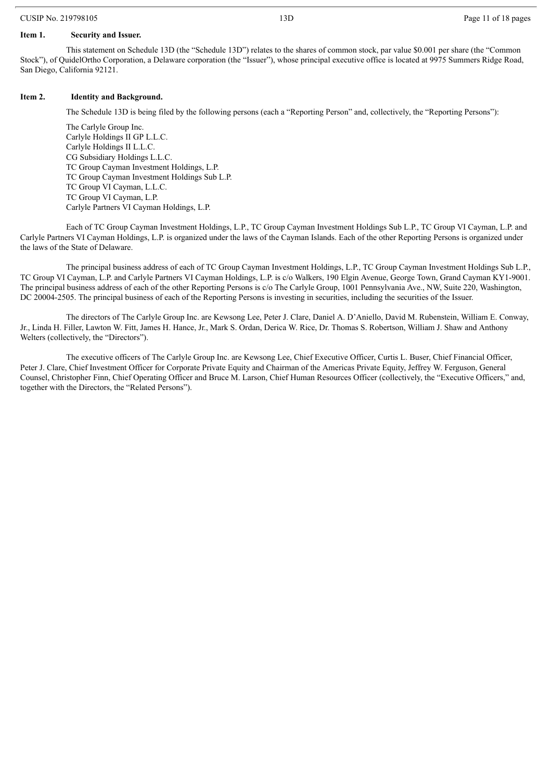#### CUSIP No. 219798105 13D Page 11 of 18 pages

#### **Item 1. Security and Issuer.**

This statement on Schedule 13D (the "Schedule 13D") relates to the shares of common stock, par value \$0.001 per share (the "Common Stock"), of QuidelOrtho Corporation, a Delaware corporation (the "Issuer"), whose principal executive office is located at 9975 Summers Ridge Road, San Diego, California 92121.

#### **Item 2. Identity and Background.**

The Schedule 13D is being filed by the following persons (each a "Reporting Person" and, collectively, the "Reporting Persons"):

The Carlyle Group Inc. Carlyle Holdings II GP L.L.C. Carlyle Holdings II L.L.C. CG Subsidiary Holdings L.L.C. TC Group Cayman Investment Holdings, L.P. TC Group Cayman Investment Holdings Sub L.P. TC Group VI Cayman, L.L.C. TC Group VI Cayman, L.P. Carlyle Partners VI Cayman Holdings, L.P.

Each of TC Group Cayman Investment Holdings, L.P., TC Group Cayman Investment Holdings Sub L.P., TC Group VI Cayman, L.P. and Carlyle Partners VI Cayman Holdings, L.P. is organized under the laws of the Cayman Islands. Each of the other Reporting Persons is organized under the laws of the State of Delaware.

The principal business address of each of TC Group Cayman Investment Holdings, L.P., TC Group Cayman Investment Holdings Sub L.P., TC Group VI Cayman, L.P. and Carlyle Partners VI Cayman Holdings, L.P. is c/o Walkers, 190 Elgin Avenue, George Town, Grand Cayman KY1-9001. The principal business address of each of the other Reporting Persons is c/o The Carlyle Group, 1001 Pennsylvania Ave., NW, Suite 220, Washington, DC 20004-2505. The principal business of each of the Reporting Persons is investing in securities, including the securities of the Issuer.

The directors of The Carlyle Group Inc. are Kewsong Lee, Peter J. Clare, Daniel A. D'Aniello, David M. Rubenstein, William E. Conway, Jr., Linda H. Filler, Lawton W. Fitt, James H. Hance, Jr., Mark S. Ordan, Derica W. Rice, Dr. Thomas S. Robertson, William J. Shaw and Anthony Welters (collectively, the "Directors").

The executive officers of The Carlyle Group Inc. are Kewsong Lee, Chief Executive Officer, Curtis L. Buser, Chief Financial Officer, Peter J. Clare, Chief Investment Officer for Corporate Private Equity and Chairman of the Americas Private Equity, Jeffrey W. Ferguson, General Counsel, Christopher Finn, Chief Operating Officer and Bruce M. Larson, Chief Human Resources Officer (collectively, the "Executive Officers," and, together with the Directors, the "Related Persons").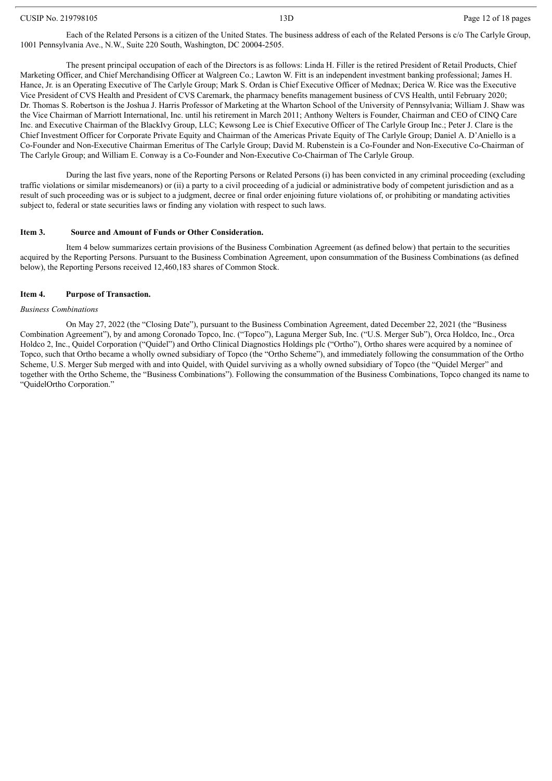#### CUSIP No. 219798105 **Page 12 of 18 pages** 13D **Page 12 of 18 pages** 2 of 18 pages

Each of the Related Persons is a citizen of the United States. The business address of each of the Related Persons is c/o The Carlyle Group, 1001 Pennsylvania Ave., N.W., Suite 220 South, Washington, DC 20004-2505.

The present principal occupation of each of the Directors is as follows: Linda H. Filler is the retired President of Retail Products, Chief Marketing Officer, and Chief Merchandising Officer at Walgreen Co.; Lawton W. Fitt is an independent investment banking professional; James H. Hance, Jr. is an Operating Executive of The Carlyle Group; Mark S. Ordan is Chief Executive Officer of Mednax; Derica W. Rice was the Executive Vice President of CVS Health and President of CVS Caremark, the pharmacy benefits management business of CVS Health, until February 2020; Dr. Thomas S. Robertson is the Joshua J. Harris Professor of Marketing at the Wharton School of the University of Pennsylvania; William J. Shaw was the Vice Chairman of Marriott International, Inc. until his retirement in March 2011; Anthony Welters is Founder, Chairman and CEO of CINQ Care Inc. and Executive Chairman of the BlackIvy Group, LLC; Kewsong Lee is Chief Executive Officer of The Carlyle Group Inc.; Peter J. Clare is the Chief Investment Officer for Corporate Private Equity and Chairman of the Americas Private Equity of The Carlyle Group; Daniel A. D'Aniello is a Co-Founder and Non-Executive Chairman Emeritus of The Carlyle Group; David M. Rubenstein is a Co-Founder and Non-Executive Co-Chairman of The Carlyle Group; and William E. Conway is a Co-Founder and Non-Executive Co-Chairman of The Carlyle Group.

During the last five years, none of the Reporting Persons or Related Persons (i) has been convicted in any criminal proceeding (excluding traffic violations or similar misdemeanors) or (ii) a party to a civil proceeding of a judicial or administrative body of competent jurisdiction and as a result of such proceeding was or is subject to a judgment, decree or final order enjoining future violations of, or prohibiting or mandating activities subject to, federal or state securities laws or finding any violation with respect to such laws.

#### **Item 3. Source and Amount of Funds or Other Consideration.**

Item 4 below summarizes certain provisions of the Business Combination Agreement (as defined below) that pertain to the securities acquired by the Reporting Persons. Pursuant to the Business Combination Agreement, upon consummation of the Business Combinations (as defined below), the Reporting Persons received 12,460,183 shares of Common Stock.

#### **Item 4. Purpose of Transaction.**

#### *Business Combinations*

On May 27, 2022 (the "Closing Date"), pursuant to the Business Combination Agreement, dated December 22, 2021 (the "Business Combination Agreement"), by and among Coronado Topco, Inc. ("Topco"), Laguna Merger Sub, Inc. ("U.S. Merger Sub"), Orca Holdco, Inc., Orca Holdco 2, Inc., Quidel Corporation ("Quidel") and Ortho Clinical Diagnostics Holdings plc ("Ortho"), Ortho shares were acquired by a nominee of Topco, such that Ortho became a wholly owned subsidiary of Topco (the "Ortho Scheme"), and immediately following the consummation of the Ortho Scheme, U.S. Merger Sub merged with and into Quidel, with Quidel surviving as a wholly owned subsidiary of Topco (the "Quidel Merger" and together with the Ortho Scheme, the "Business Combinations"). Following the consummation of the Business Combinations, Topco changed its name to "QuidelOrtho Corporation."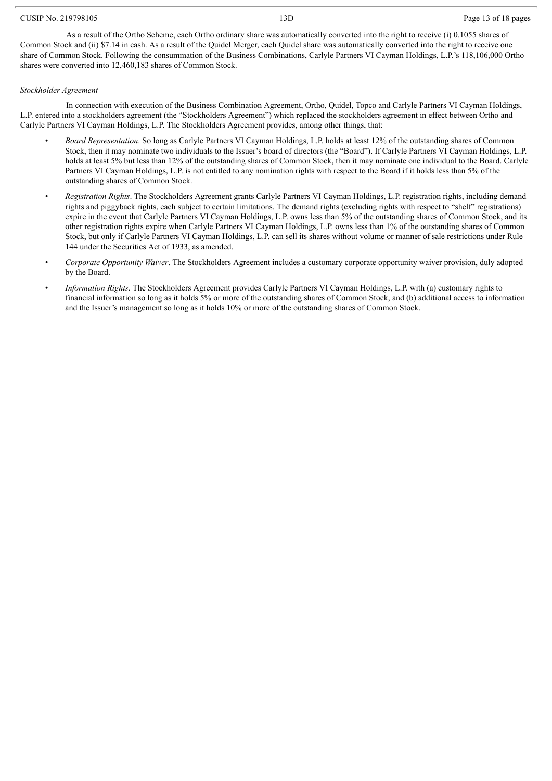#### CUSIP No. 219798105 2009 2012 13D 2012 13D Page 13 of 18 pages

As a result of the Ortho Scheme, each Ortho ordinary share was automatically converted into the right to receive (i) 0.1055 shares of Common Stock and (ii) \$7.14 in cash. As a result of the Quidel Merger, each Quidel share was automatically converted into the right to receive one share of Common Stock. Following the consummation of the Business Combinations, Carlyle Partners VI Cayman Holdings, L.P.'s 118,106,000 Ortho shares were converted into 12,460,183 shares of Common Stock.

#### *Stockholder Agreement*

In connection with execution of the Business Combination Agreement, Ortho, Quidel, Topco and Carlyle Partners VI Cayman Holdings, L.P. entered into a stockholders agreement (the "Stockholders Agreement") which replaced the stockholders agreement in effect between Ortho and Carlyle Partners VI Cayman Holdings, L.P. The Stockholders Agreement provides, among other things, that:

- *Board Representation*. So long as Carlyle Partners VI Cayman Holdings, L.P. holds at least 12% of the outstanding shares of Common Stock, then it may nominate two individuals to the Issuer's board of directors (the "Board"). If Carlyle Partners VI Cayman Holdings, L.P. holds at least 5% but less than 12% of the outstanding shares of Common Stock, then it may nominate one individual to the Board. Carlyle Partners VI Cayman Holdings, L.P. is not entitled to any nomination rights with respect to the Board if it holds less than 5% of the outstanding shares of Common Stock.
- *Registration Rights*. The Stockholders Agreement grants Carlyle Partners VI Cayman Holdings, L.P. registration rights, including demand rights and piggyback rights, each subject to certain limitations. The demand rights (excluding rights with respect to "shelf" registrations) expire in the event that Carlyle Partners VI Cayman Holdings, L.P. owns less than 5% of the outstanding shares of Common Stock, and its other registration rights expire when Carlyle Partners VI Cayman Holdings, L.P. owns less than 1% of the outstanding shares of Common Stock, but only if Carlyle Partners VI Cayman Holdings, L.P. can sell its shares without volume or manner of sale restrictions under Rule 144 under the Securities Act of 1933, as amended.
- *Corporate Opportunity Waiver*. The Stockholders Agreement includes a customary corporate opportunity waiver provision, duly adopted by the Board.
- *Information Rights*. The Stockholders Agreement provides Carlyle Partners VI Cayman Holdings, L.P. with (a) customary rights to financial information so long as it holds 5% or more of the outstanding shares of Common Stock, and (b) additional access to information and the Issuer's management so long as it holds 10% or more of the outstanding shares of Common Stock.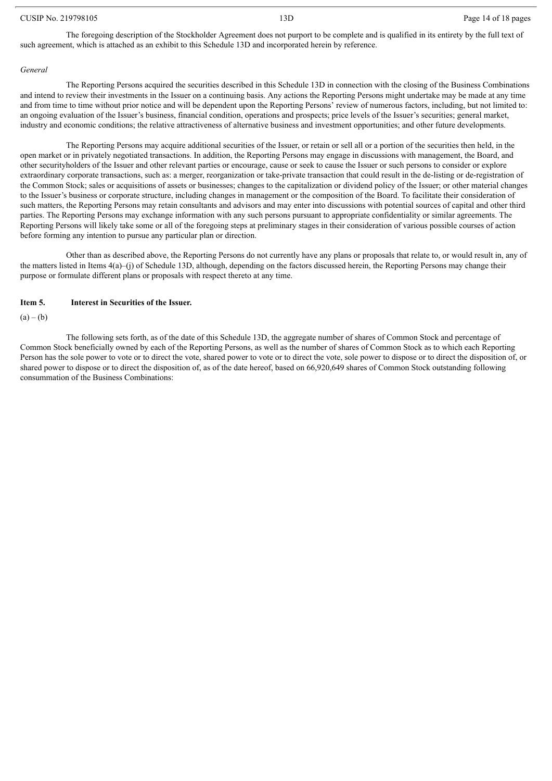#### CUSIP No. 219798105 13D Page 14 of 18 pages

The foregoing description of the Stockholder Agreement does not purport to be complete and is qualified in its entirety by the full text of such agreement, which is attached as an exhibit to this Schedule 13D and incorporated herein by reference.

#### *General*

The Reporting Persons acquired the securities described in this Schedule 13D in connection with the closing of the Business Combinations and intend to review their investments in the Issuer on a continuing basis. Any actions the Reporting Persons might undertake may be made at any time and from time to time without prior notice and will be dependent upon the Reporting Persons' review of numerous factors, including, but not limited to: an ongoing evaluation of the Issuer's business, financial condition, operations and prospects; price levels of the Issuer's securities; general market, industry and economic conditions; the relative attractiveness of alternative business and investment opportunities; and other future developments.

The Reporting Persons may acquire additional securities of the Issuer, or retain or sell all or a portion of the securities then held, in the open market or in privately negotiated transactions. In addition, the Reporting Persons may engage in discussions with management, the Board, and other securityholders of the Issuer and other relevant parties or encourage, cause or seek to cause the Issuer or such persons to consider or explore extraordinary corporate transactions, such as: a merger, reorganization or take-private transaction that could result in the de-listing or de-registration of the Common Stock; sales or acquisitions of assets or businesses; changes to the capitalization or dividend policy of the Issuer; or other material changes to the Issuer's business or corporate structure, including changes in management or the composition of the Board. To facilitate their consideration of such matters, the Reporting Persons may retain consultants and advisors and may enter into discussions with potential sources of capital and other third parties. The Reporting Persons may exchange information with any such persons pursuant to appropriate confidentiality or similar agreements. The Reporting Persons will likely take some or all of the foregoing steps at preliminary stages in their consideration of various possible courses of action before forming any intention to pursue any particular plan or direction.

Other than as described above, the Reporting Persons do not currently have any plans or proposals that relate to, or would result in, any of the matters listed in Items 4(a)–(j) of Schedule 13D, although, depending on the factors discussed herein, the Reporting Persons may change their purpose or formulate different plans or proposals with respect thereto at any time.

#### **Item 5. Interest in Securities of the Issuer.**

#### $(a) - (b)$

The following sets forth, as of the date of this Schedule 13D, the aggregate number of shares of Common Stock and percentage of Common Stock beneficially owned by each of the Reporting Persons, as well as the number of shares of Common Stock as to which each Reporting Person has the sole power to vote or to direct the vote, shared power to vote or to direct the vote, sole power to dispose or to direct the disposition of, or shared power to dispose or to direct the disposition of, as of the date hereof, based on 66,920,649 shares of Common Stock outstanding following consummation of the Business Combinations: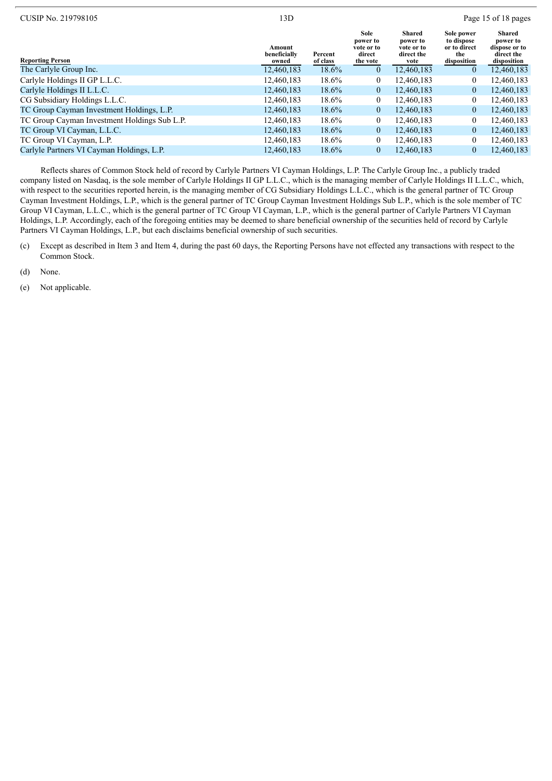|                                 |                     |                                                      |                                                        |                                                                | Page 15 of 18 pages                                              |
|---------------------------------|---------------------|------------------------------------------------------|--------------------------------------------------------|----------------------------------------------------------------|------------------------------------------------------------------|
| Amount<br>beneficially<br>owned | Percent<br>of class | Sole<br>power to<br>vote or to<br>direct<br>the vote | Shared<br>power to<br>vote or to<br>direct the<br>vote | Sole power<br>to dispose<br>or to direct<br>the<br>disposition | Shared<br>power to<br>dispose or to<br>direct the<br>disposition |
| 12,460,183                      | 18.6%               | $\overline{0}$                                       | 12,460,183                                             | $\overline{0}$                                                 | 12,460,183                                                       |
| 12,460,183                      | 18.6%               | $\mathbf{0}$                                         | 12,460,183                                             | $\mathbf{0}$                                                   | 12,460,183                                                       |
| 12,460,183                      | 18.6%               | $\overline{0}$                                       | 12,460,183                                             | $\mathbf{0}$                                                   | 12,460,183                                                       |
| 12,460,183                      | 18.6%               | $\mathbf{0}$                                         | 12,460,183                                             | $\boldsymbol{0}$                                               | 12,460,183                                                       |
| 12.460.183                      | $18.6\%$            | $\overline{0}$                                       | 12.460.183                                             | $\overline{0}$                                                 | 12,460,183                                                       |
| 12,460,183                      | 18.6%               | $\mathbf{0}$                                         | 12,460,183                                             | $\boldsymbol{0}$                                               | 12,460,183                                                       |
| 12,460,183                      | 18.6%               | $\overline{0}$                                       | 12,460,183                                             | $\boldsymbol{0}$                                               | 12,460,183                                                       |
| 12,460,183                      | 18.6%               | $\overline{0}$                                       | 12,460,183                                             | $\mathbf{0}$                                                   | 12,460,183                                                       |
| 12,460,183                      | 18.6%               | $\overline{0}$                                       | 12,460,183                                             | $\mathbf{0}$                                                   | 12,460,183                                                       |
|                                 | 13D                 |                                                      |                                                        |                                                                |                                                                  |

Reflects shares of Common Stock held of record by Carlyle Partners VI Cayman Holdings, L.P. The Carlyle Group Inc., a publicly traded company listed on Nasdaq, is the sole member of Carlyle Holdings II GP L.L.C., which is the managing member of Carlyle Holdings II L.L.C., which, with respect to the securities reported herein, is the managing member of CG Subsidiary Holdings L.L.C., which is the general partner of TC Group Cayman Investment Holdings, L.P., which is the general partner of TC Group Cayman Investment Holdings Sub L.P., which is the sole member of TC Group VI Cayman, L.L.C., which is the general partner of TC Group VI Cayman, L.P., which is the general partner of Carlyle Partners VI Cayman Holdings, L.P. Accordingly, each of the foregoing entities may be deemed to share beneficial ownership of the securities held of record by Carlyle Partners VI Cayman Holdings, L.P., but each disclaims beneficial ownership of such securities.

(c) Except as described in Item 3 and Item 4, during the past 60 days, the Reporting Persons have not effected any transactions with respect to the Common Stock.

(d) None.

(e) Not applicable.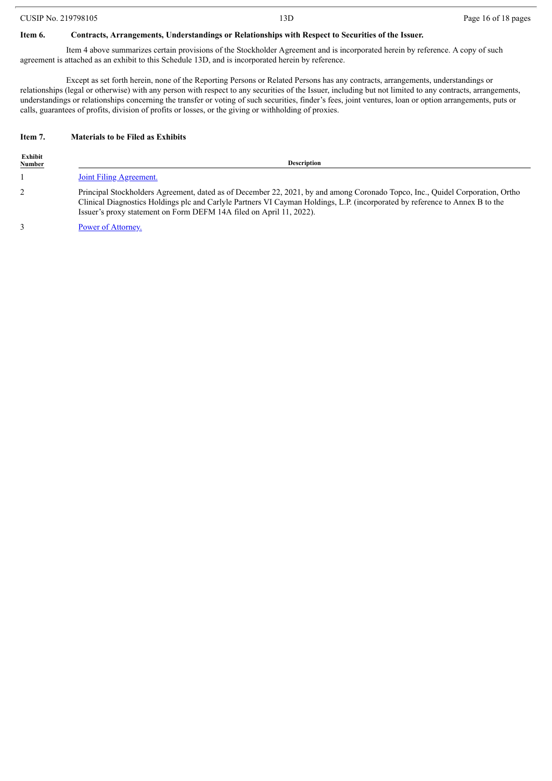|  |  |  | CUSIP No. 219798105 |
|--|--|--|---------------------|
|--|--|--|---------------------|

#### **Item 6. Contracts, Arrangements, Understandings or Relationships with Respect to Securities of the Issuer.**

Item 4 above summarizes certain provisions of the Stockholder Agreement and is incorporated herein by reference. A copy of such agreement is attached as an exhibit to this Schedule 13D, and is incorporated herein by reference.

Except as set forth herein, none of the Reporting Persons or Related Persons has any contracts, arrangements, understandings or relationships (legal or otherwise) with any person with respect to any securities of the Issuer, including but not limited to any contracts, arrangements, understandings or relationships concerning the transfer or voting of such securities, finder's fees, joint ventures, loan or option arrangements, puts or calls, guarantees of profits, division of profits or losses, or the giving or withholding of proxies.

#### **Item 7. Materials to be Filed as Exhibits**

| Exhibit<br><b>Number</b> | <b>Description</b>                                                                                                                                                                                                                                                                                                                   |  |  |  |  |
|--------------------------|--------------------------------------------------------------------------------------------------------------------------------------------------------------------------------------------------------------------------------------------------------------------------------------------------------------------------------------|--|--|--|--|
|                          | <b>Joint Filing Agreement.</b>                                                                                                                                                                                                                                                                                                       |  |  |  |  |
|                          | Principal Stockholders Agreement, dated as of December 22, 2021, by and among Coronado Topco, Inc., Quidel Corporation, Ortho<br>Clinical Diagnostics Holdings plc and Carlyle Partners VI Cayman Holdings, L.P. (incorporated by reference to Annex B to the<br>Issuer's proxy statement on Form DEFM 14A filed on April 11, 2022). |  |  |  |  |
|                          |                                                                                                                                                                                                                                                                                                                                      |  |  |  |  |

3 Power of [Attorney.](#page-20-0)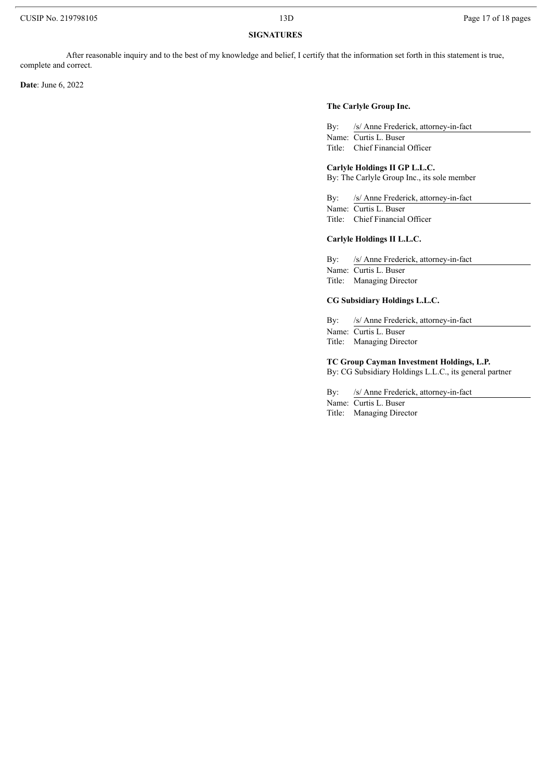#### **SIGNATURES**

After reasonable inquiry and to the best of my knowledge and belief, I certify that the information set forth in this statement is true, complete and correct.

**Date**: June 6, 2022

#### **The Carlyle Group Inc.**

By: /s/ Anne Frederick, attorney-in-fact Name: Curtis L. Buser Title: Chief Financial Officer

#### **Carlyle Holdings II GP L.L.C.**

By: The Carlyle Group Inc., its sole member

By: /s/ Anne Frederick, attorney-in-fact

Name: Curtis L. Buser Title: Chief Financial Officer

#### **Carlyle Holdings II L.L.C.**

By: /s/ Anne Frederick, attorney-in-fact Name: Curtis L. Buser Title: Managing Director

#### **CG Subsidiary Holdings L.L.C.**

By: /s/ Anne Frederick, attorney-in-fact Name: Curtis L. Buser

Title: Managing Director

**TC Group Cayman Investment Holdings, L.P.**

By: CG Subsidiary Holdings L.L.C., its general partner

By: /s/ Anne Frederick, attorney-in-fact

Name: Curtis L. Buser

Title: Managing Director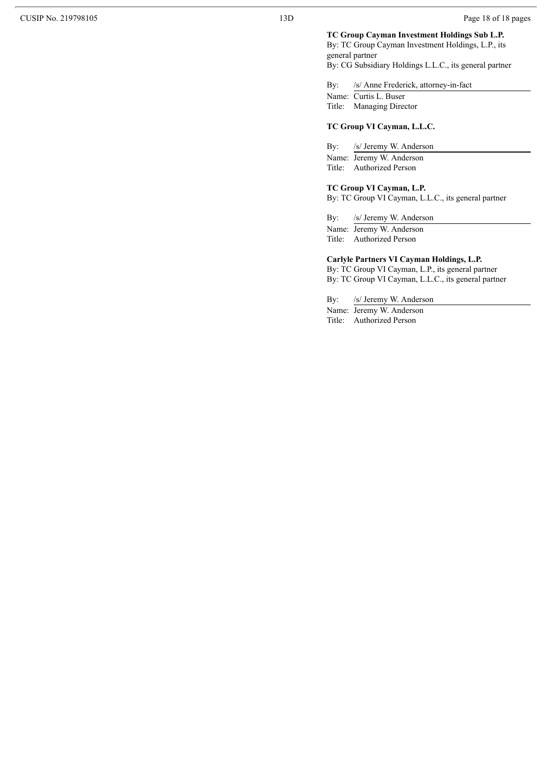#### TC Group Cayman Investment Holdings Sub L.P.

By: TC Group Cayman Investment Holdings, L.P., its general partner

By: CG Subsidiary Holdings L.L.C., its general partner

By:  $/2$ s/ Anne Frederick, attorney-in-fact

Name: Curtis L. Buser

## Title: Managing Director

#### **TC** Group VI Cayman, L.L.C.

By: /: s/ Jeremy W. Anderson

Name: Jeremy W. Anderson Title: Authorized Person

#### **TC** Group VI Cayman, L.P.

By: TC Group VI Cayman, L.L.C., its general partner

By:  $/2$ s/ Jeremy W. Anderson

Name: Jeremy W. Anderson Title: Authorized Person

#### Carlyle Partners VI Cayman Holdings, L.P.

By: TC Group VI Cayman, L.P., its general partner By: TC Group VI Cayman, L.L.C., its general partner

By:  $/2$ s/ Jeremy W. Anderson

Name: Jeremy W. Anderson Title: Authorized Person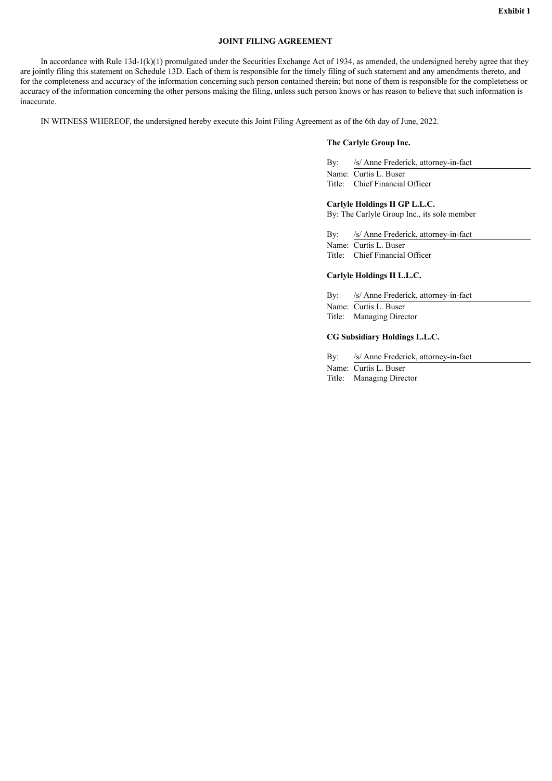#### **JOINT FILING AGREEMENT**

<span id="page-18-0"></span>In accordance with Rule 13d-1(k)(1) promulgated under the Securities Exchange Act of 1934, as amended, the undersigned hereby agree that they are jointly filing this statement on Schedule 13D. Each of them is responsible for the timely filing of such statement and any amendments thereto, and for the completeness and accuracy of the information concerning such person contained therein; but none of them is responsible for the completeness or accuracy of the information concerning the other persons making the filing, unless such person knows or has reason to believe that such information is inaccurate.

IN WITNESS WHEREOF, the undersigned hereby execute this Joint Filing Agreement as of the 6th day of June, 2022.

#### **The Carlyle Group Inc.**

By: /s/ Anne Frederick, attorney-in-fact Name: Curtis L. Buser Title: Chief Financial Officer

#### **Carlyle Holdings II GP L.L.C.**

By: The Carlyle Group Inc., its sole member

By: /s/ Anne Frederick, attorney-in-fact Name: Curtis L. Buser Title: Chief Financial Officer

#### **Carlyle Holdings II L.L.C.**

By: /s/ Anne Frederick, attorney-in-fact Name: Curtis L. Buser Title: Managing Director

#### **CG Subsidiary Holdings L.L.C.**

By: /s/ Anne Frederick, attorney-in-fact Name: Curtis L. Buser Title: Managing Director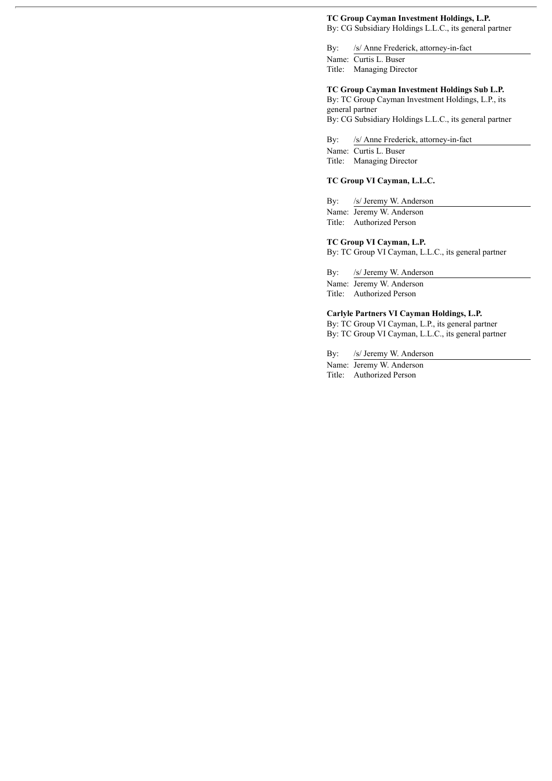# **TC Group Cayman Investment Holdings, L.P.**

By: CG Subsidiary Holdings L.L.C., its general partner

By: /s/ Anne Frederick, attorney-in-fact Name: Curtis L. Buser Title: Managing Director

### **TC Group Cayman Investment Holdings Sub L.P.**

By: TC Group Cayman Investment Holdings, L.P., its general partner By: CG Subsidiary Holdings L.L.C., its general partner

By: /s/ Anne Frederick, attorney-in-fact

Name: Curtis L. Buser Title: Managing Director

#### **TC Group VI Cayman, L.L.C.**

By: /s/ Jeremy W. Anderson Name: Jeremy W. Anderson Title: Authorized Person

#### **TC Group VI Cayman, L.P.**

By: TC Group VI Cayman, L.L.C., its general partner

By: /s/ Jeremy W. Anderson Name: Jeremy W. Anderson

Title: Authorized Person

#### **Carlyle Partners VI Cayman Holdings, L.P.**

By: TC Group VI Cayman, L.P., its general partner By: TC Group VI Cayman, L.L.C., its general partner

By: /s/ Jeremy W. Anderson

Name: Jeremy W. Anderson Title: Authorized Person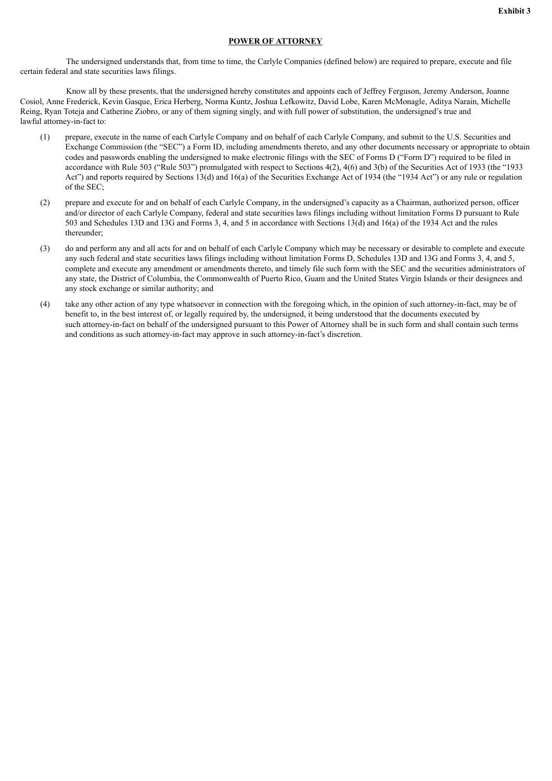#### **POWER OF ATTORNEY**

<span id="page-20-0"></span>The undersigned understands that, from time to time, the Carlyle Companies (defined below) are required to prepare, execute and file certain federal and state securities laws filings.

Know all by these presents, that the undersigned hereby constitutes and appoints each of Jeffrey Ferguson, Jeremy Anderson, Joanne Cosiol, Anne Frederick, Kevin Gasque, Erica Herberg, Norma Kuntz, Joshua Lefkowitz, David Lobe, Karen McMonagle, Aditya Narain, Michelle Reing, Ryan Toteja and Catherine Ziobro, or any of them signing singly, and with full power of substitution, the undersigned's true and lawful attorney-in-fact to:

- (1) prepare, execute in the name of each Carlyle Company and on behalf of each Carlyle Company, and submit to the U.S. Securities and Exchange Commission (the "SEC") a Form ID, including amendments thereto, and any other documents necessary or appropriate to obtain codes and passwords enabling the undersigned to make electronic filings with the SEC of Forms D ("Form D") required to be filed in accordance with Rule 503 ("Rule 503") promulgated with respect to Sections 4(2), 4(6) and 3(b) of the Securities Act of 1933 (the "1933 Act") and reports required by Sections 13(d) and 16(a) of the Securities Exchange Act of 1934 (the "1934 Act") or any rule or regulation of the SEC;
- (2) prepare and execute for and on behalf of each Carlyle Company, in the undersigned's capacity as a Chairman, authorized person, officer and/or director of each Carlyle Company, federal and state securities laws filings including without limitation Forms D pursuant to Rule 503 and Schedules 13D and 13G and Forms 3, 4, and 5 in accordance with Sections 13(d) and 16(a) of the 1934 Act and the rules thereunder;
- (3) do and perform any and all acts for and on behalf of each Carlyle Company which may be necessary or desirable to complete and execute any such federal and state securities laws filings including without limitation Forms D, Schedules 13D and 13G and Forms 3, 4, and 5, complete and execute any amendment or amendments thereto, and timely file such form with the SEC and the securities administrators of any state, the District of Columbia, the Commonwealth of Puerto Rico, Guam and the United States Virgin Islands or their designees and any stock exchange or similar authority; and
- (4) take any other action of any type whatsoever in connection with the foregoing which, in the opinion of such attorney-in-fact, may be of benefit to, in the best interest of, or legally required by, the undersigned, it being understood that the documents executed by such attorney-in-fact on behalf of the undersigned pursuant to this Power of Attorney shall be in such form and shall contain such terms and conditions as such attorney-in-fact may approve in such attorney-in-fact's discretion.